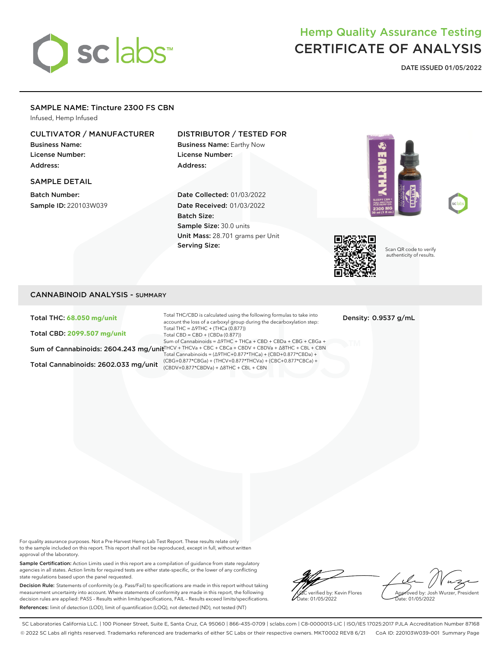# sclabs<sup>\*</sup>

## Hemp Quality Assurance Testing CERTIFICATE OF ANALYSIS

**DATE ISSUED 01/05/2022**

#### SAMPLE NAME: Tincture 2300 FS CBN

Infused, Hemp Infused

#### CULTIVATOR / MANUFACTURER

Business Name: License Number: Address:

#### SAMPLE DETAIL

Batch Number: Sample ID: 220103W039

#### DISTRIBUTOR / TESTED FOR

Business Name: Earthy Now License Number: Address:

Date Collected: 01/03/2022 Date Received: 01/03/2022 Batch Size: Sample Size: 30.0 units Unit Mass: 28.701 grams per Unit Serving Size:







Scan QR code to verify authenticity of results.

#### CANNABINOID ANALYSIS - SUMMARY

Total THC: **68.050 mg/unit**

Total CBD: **2099.507 mg/unit**

Total Cannabinoids: 2602.033 mg/unit  $\frac{(CDO+0.877 \times 10^{14} \text{ C})}{(CBDV+0.877 \times CBDV+a)}$ +  $\Delta 8THC + CBL + CBN$ 

Sum of Cannabinoids: 2604.243 mg/unit™CV + THCVa + CBC + CBCa + CBDV + CBDVa + ∆8THC + CBL + CBN Total THC/CBD is calculated using the following formulas to take into account the loss of a carboxyl group during the decarboxylation step: Total THC = ∆9THC + (THCa (0.877)) Total CBD = CBD + (CBDa (0.877)) Sum of Cannabinoids = ∆9THC + THCa + CBD + CBDa + CBG + CBGa + Total Cannabinoids = (∆9THC+0.877\*THCa) + (CBD+0.877\*CBDa) + (CBG+0.877\*CBGa) + (THCV+0.877\*THCVa) + (CBC+0.877\*CBCa) +

Density: 0.9537 g/mL

For quality assurance purposes. Not a Pre-Harvest Hemp Lab Test Report. These results relate only to the sample included on this report. This report shall not be reproduced, except in full, without written approval of the laboratory.

Sample Certification: Action Limits used in this report are a compilation of guidance from state regulatory agencies in all states. Action limits for required tests are either state-specific, or the lower of any conflicting state regulations based upon the panel requested.

Decision Rule: Statements of conformity (e.g. Pass/Fail) to specifications are made in this report without taking measurement uncertainty into account. Where statements of conformity are made in this report, the following decision rules are applied: PASS – Results within limits/specifications, FAIL – Results exceed limits/specifications. References: limit of detection (LOD), limit of quantification (LOQ), not detected (ND), not tested (NT)

verified by: Kevin Flores ate: 01/05/2022

Approved by: Josh Wurzer, President Date: 01/05/2022

SC Laboratories California LLC. | 100 Pioneer Street, Suite E, Santa Cruz, CA 95060 | 866-435-0709 | sclabs.com | C8-0000013-LIC | ISO/IES 17025:2017 PJLA Accreditation Number 87168 © 2022 SC Labs all rights reserved. Trademarks referenced are trademarks of either SC Labs or their respective owners. MKT0002 REV8 6/21 CoA ID: 220103W039-001 Summary Page